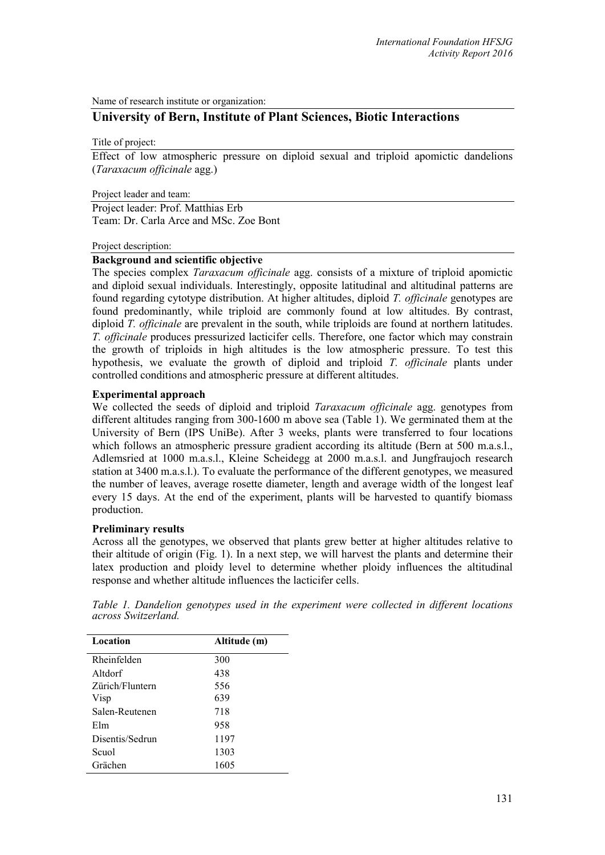Name of research institute or organization:

# **University of Bern, Institute of Plant Sciences, Biotic Interactions**

Title of project:

Effect of low atmospheric pressure on diploid sexual and triploid apomictic dandelions (*Taraxacum officinale* agg.)

Project leader and team:

Project leader: Prof. Matthias Erb Team: Dr. Carla Arce and MSc. Zoe Bont

#### Project description:

## **Background and scientific objective**

The species complex *Taraxacum officinale* agg. consists of a mixture of triploid apomictic and diploid sexual individuals. Interestingly, opposite latitudinal and altitudinal patterns are found regarding cytotype distribution. At higher altitudes, diploid *T. officinale* genotypes are found predominantly, while triploid are commonly found at low altitudes. By contrast, diploid *T. officinale* are prevalent in the south, while triploids are found at northern latitudes. *T. officinale* produces pressurized lacticifer cells. Therefore, one factor which may constrain the growth of triploids in high altitudes is the low atmospheric pressure. To test this hypothesis, we evaluate the growth of diploid and triploid *T. officinale* plants under controlled conditions and atmospheric pressure at different altitudes.

### **Experimental approach**

We collected the seeds of diploid and triploid *Taraxacum officinale* agg. genotypes from different altitudes ranging from 300-1600 m above sea (Table 1). We germinated them at the University of Bern (IPS UniBe). After 3 weeks, plants were transferred to four locations which follows an atmospheric pressure gradient according its altitude (Bern at 500 m.a.s.l., Adlemsried at 1000 m.a.s.l., Kleine Scheidegg at 2000 m.a.s.l. and Jungfraujoch research station at 3400 m.a.s.l.). To evaluate the performance of the different genotypes, we measured the number of leaves, average rosette diameter, length and average width of the longest leaf every 15 days. At the end of the experiment, plants will be harvested to quantify biomass production.

### **Preliminary results**

Across all the genotypes, we observed that plants grew better at higher altitudes relative to their altitude of origin (Fig. 1). In a next step, we will harvest the plants and determine their latex production and ploidy level to determine whether ploidy influences the altitudinal response and whether altitude influences the lacticifer cells.

|  |                     |  |  | Table 1. Dandelion genotypes used in the experiment were collected in different locations |  |  |  |
|--|---------------------|--|--|-------------------------------------------------------------------------------------------|--|--|--|
|  | across Switzerland. |  |  |                                                                                           |  |  |  |

| Location        | Altitude (m) |
|-----------------|--------------|
| Rheinfelden     | 300          |
| Altdorf         | 438          |
| Zürich/Fluntern | 556          |
| Visp            | 639          |
| Salen-Reutenen  | 718          |
| Elm             | 958          |
| Disentis/Sedrun | 1197         |
| Scuol           | 1303         |
| Grächen         | 1605         |